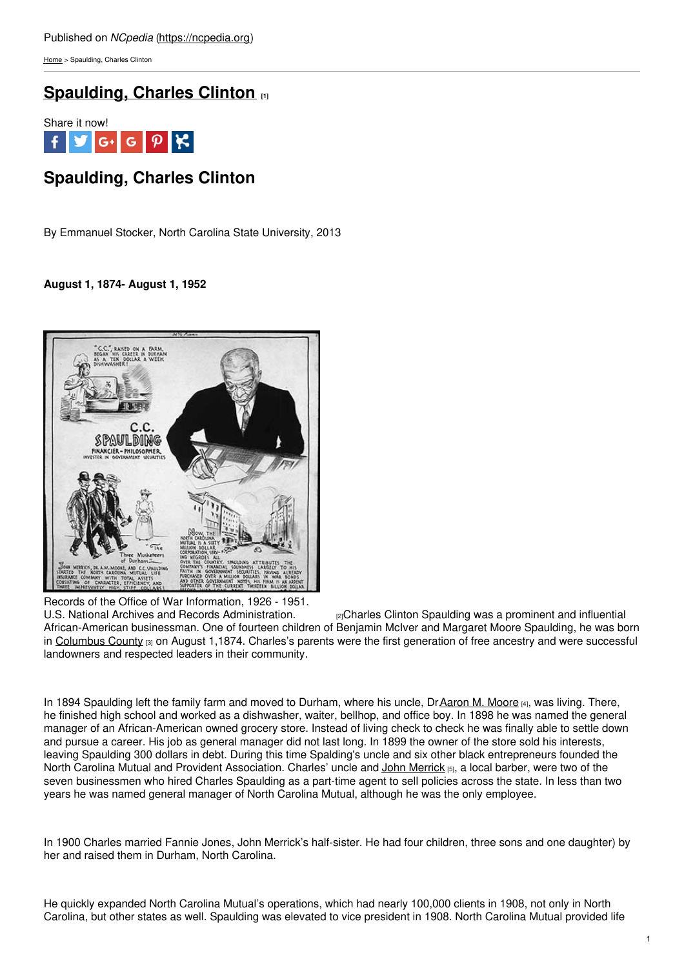[Home](https://ncpedia.org/) > Spaulding, Charles Clinton

# **[Spaulding,](https://ncpedia.org/biography/spaulding-charles-clinton-0) Charles Clinton [1]**



# **Spaulding, Charles Clinton**

By Emmanuel Stocker, North Carolina State University, 2013

## **August 1, 1874- August 1, 1952**



Records of the Office of War Information, 1926 - 1951. U.S. National Archives and Records [Administration.](http://research.archives.gov/description/535690) <sup>[2]</sup>Charles Clinton Spaulding was a prominent and influential African-American businessman. One of fourteen children of Benjamin McIver and Margaret Moore Spaulding, he was born in [Columbus](https://ncpedia.org/geography/columbus) County  $[3]$  on August 1,1874. Charles's parents were the first generation of free ancestry and were successful landowners and respected leaders in their community.

In 1894 Spaulding left the family farm and moved to Durham, where his uncle, DrAaron M. [Moore](https://ncpedia.org/biography/moore-aaron-mcduffie) [4], was living. There, he finished high school and worked as a dishwasher, waiter, bellhop, and office boy. In 1898 he was named the general manager of an African-American owned grocery store. Instead of living check to check he was finally able to settle down and pursue a career. His job as general manager did not last long. In 1899 the owner of the store sold his interests, leaving Spaulding 300 dollars in debt. During this time Spalding's uncle and six other black entrepreneurs founded the North Carolina Mutual and Provident Association. Charles' uncle and John [Merrick](https://ncpedia.org/biography/merrick-john) [5], a local barber, were two of the seven businessmen who hired Charles Spaulding as a part-time agent to sell policies across the state. In less than two years he was named general manager of North Carolina Mutual, although he was the only employee.

In 1900 Charles married Fannie Jones, John Merrick's half-sister. He had four children, three sons and one daughter) by her and raised them in Durham, North Carolina.

He quickly expanded North Carolina Mutual's operations, which had nearly 100,000 clients in 1908, not only in North Carolina, but other states as well. Spaulding was elevated to vice president in 1908. North Carolina Mutual provided life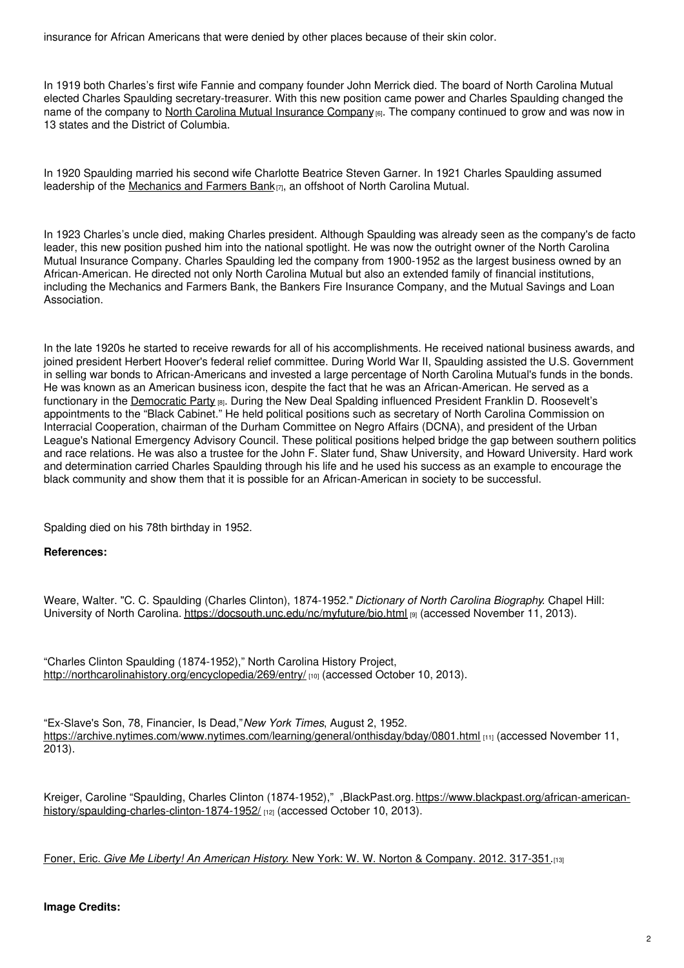insurance for African Americans that were denied by other places because of their skin color.

In 1919 both Charles's first wife Fannie and company founder John Merrick died. The board of North Carolina Mutual elected Charles Spaulding secretary-treasurer. With this new position came power and Charles Spaulding changed the name of the company to North Carolina Mutual [Insurance](https://ncpedia.org/industry/nc-mutual-life) Company  $_{6}$ . The company continued to grow and was now in 13 states and the District of Columbia.

In 1920 Spaulding married his second wife Charlotte Beatrice Steven Garner. In 1921 Charles Spaulding assumed leadership of the [Mechanics](https://ncpedia.org/mechanics-and-farmers-bank) and Farmers Bank $_{[7]}$ , an offshoot of North Carolina Mutual.

In 1923 Charles's uncle died, making Charles president. Although Spaulding was already seen as the company's de facto leader, this new position pushed him into the national spotlight. He was now the outright owner of the North Carolina Mutual Insurance Company. Charles Spaulding led the company from 1900-1952 as the largest business owned by an African-American. He directed not only North Carolina Mutual but also an extended family of financial institutions, including the Mechanics and Farmers Bank, the Bankers Fire Insurance Company, and the Mutual Savings and Loan Association.

In the late 1920s he started to receive rewards for all of his accomplishments. He received national business awards, and joined president Herbert Hoover's federal relief committee. During World War II, Spaulding assisted the U.S. Government in selling war bonds to African-Americans and invested a large percentage of North Carolina Mutual's funds in the bonds. He was known as an American business icon, despite the fact that he was an African-American. He served as a functionary in the [Democratic](https://ncpedia.org/democratic-party) Party [8]. During the New Deal Spalding influenced President Franklin D. Roosevelt's appointments to the "Black Cabinet." He held political positions such as secretary of North Carolina Commission on Interracial Cooperation, chairman of the Durham Committee on Negro Affairs (DCNA), and president of the Urban League's National Emergency Advisory Council. These political positions helped bridge the gap between southern politics and race relations. He was also a trustee for the John F. Slater fund, Shaw University, and Howard University. Hard work and determination carried Charles Spaulding through his life and he used his success as an example to encourage the black community and show them that it is possible for an African-American in society to be successful.

Spalding died on his 78th birthday in 1952.

### **References:**

Weare, Walter. "C. C. Spaulding (Charles Clinton), 1874-1952." *Dictionary of North Carolina Biography*. Chapel Hill: University of North Carolina. <https://docsouth.unc.edu/nc/myfuture/bio.html> [9] (accessed November 11, 2013).

"Charles Clinton Spaulding (1874-1952)," North Carolina History Project, <http://northcarolinahistory.org/encyclopedia/269/entry/> [10] (accessed October 10, 2013).

"Ex-Slave's Son, 78, Financier, Is Dead,"*New York Times*, August 2, 1952. <https://archive.nytimes.com/www.nytimes.com/learning/general/onthisday/bday/0801.html> [11] (accessed November 11, 2013).

Kreiger, Caroline "Spaulding, Charles Clinton (1874-1952)," ,BlackPast.org. [https://www.blackpast.org/african-american](https://www.blackpast.org/african-american-history/spaulding-charles-clinton-1874-1952/)history/spaulding-charles-clinton-1874-1952/ [12] (accessed October 10, 2013).

Foner, Eric. *Give Me Liberty! An American History*. New York: W. W. Norton & [Company.](https://www.worldcat.org/oclc/742517363) 2012. 317-351.[13]

### **Image Credits:**